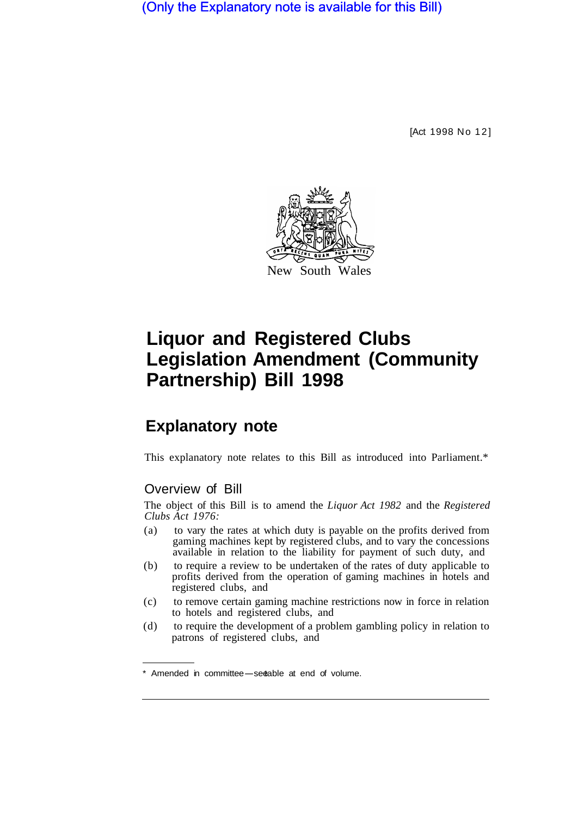(Only the Explanatory note is available for this Bill)

[Act 1998 No 12]



# **Liquor and Registered Clubs Legislation Amendment (Community Partnership) Bill 1998**

## **Explanatory note**

This explanatory note relates to this Bill as introduced into Parliament.\*

#### Overview of Bill

The object of this Bill is to amend the *Liquor Act 1982* and the *Registered Clubs Act 1976:* 

- (a) to vary the rates at which duty is payable on the profits derived from gaming machines kept by registered clubs, and to vary the concessions available in relation to the liability for payment of such duty, and
- (b) to require a review to be undertaken of the rates of duty applicable to profits derived from the operation of gaming machines in hotels and registered clubs, and
- (c) to remove certain gaming machine restrictions now in force in relation to hotels and registered clubs, and
- (d) to require the development of a problem gambling policy in relation to patrons of registered clubs, and

<sup>\*</sup> Amended in committee-see able at end of volume.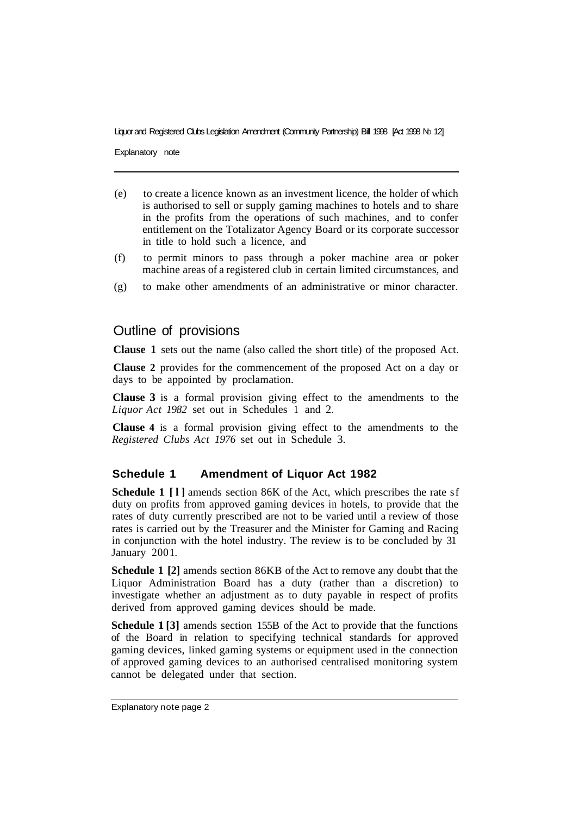Explanatory note

- (e) to create a licence known as an investment licence, the holder of which is authorised to sell or supply gaming machines to hotels and to share in the profits from the operations of such machines, and to confer entitlement on the Totalizator Agency Board or its corporate successor in title to hold such a licence, and
- (f) to permit minors to pass through a poker machine area or poker machine areas of a registered club in certain limited circumstances, and
- (g) to make other amendments of an administrative or minor character.

### Outline of provisions

**Clause 1** sets out the name (also called the short title) of the proposed Act.

**Clause 2** provides for the commencement of the proposed Act on a day or days to be appointed by proclamation.

**Clause 3** is a formal provision giving effect to the amendments to the *Liquor Act 1982* set out in Schedules 1 and 2.

**Clause 4** is a formal provision giving effect to the amendments to the *Registered Clubs Act 1976* set out in Schedule 3.

#### **Schedule 1 Amendment of Liquor Act 1982**

**Schedule 1 [l]** amends section 86K of the Act, which prescribes the rate sf duty on profits from approved gaming devices in hotels, to provide that the rates of duty currently prescribed are not to be varied until a review of those rates is carried out by the Treasurer and the Minister for Gaming and Racing in conjunction with the hotel industry. The review is to be concluded by 31 January 2001.

**Schedule 1 [2]** amends section 86KB of the Act to remove any doubt that the Liquor Administration Board has a duty (rather than a discretion) to investigate whether an adjustment as to duty payable in respect of profits derived from approved gaming devices should be made.

**Schedule 1 [3]** amends section 155B of the Act to provide that the functions of the Board in relation to specifying technical standards for approved gaming devices, linked gaming systems or equipment used in the connection of approved gaming devices to an authorised centralised monitoring system cannot be delegated under that section.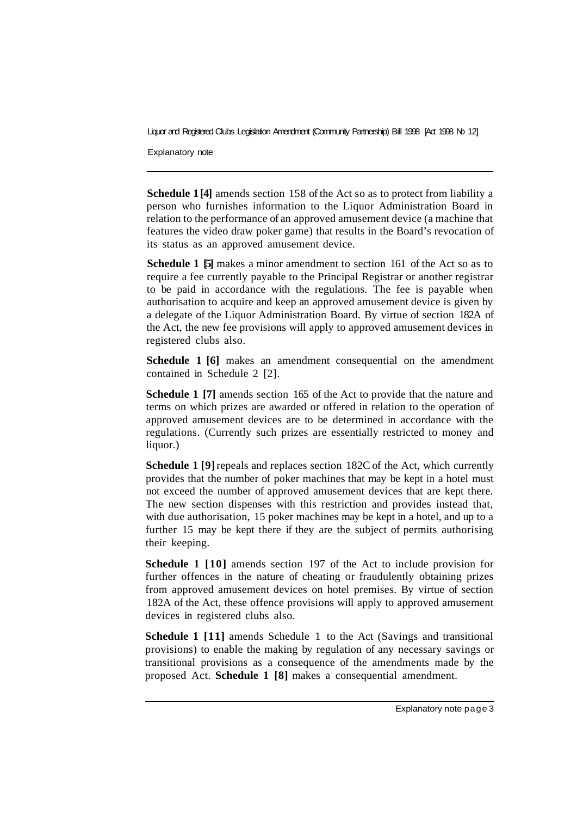Explanatory note

**Schedule 1[4]** amends section 158 of the Act so as to protect from liability a person who furnishes information to the Liquor Administration Board in relation to the performance of an approved amusement device (a machine that features the video draw poker game) that results in the Board's revocation of its status as an approved amusement device.

**Schedule 1 [5]** makes a minor amendment to section 161 of the Act so as to require a fee currently payable to the Principal Registrar or another registrar to be paid in accordance with the regulations. The fee is payable when authorisation to acquire and keep an approved amusement device is given by a delegate of the Liquor Administration Board. By virtue of section 182A of the Act, the new fee provisions will apply to approved amusement devices in registered clubs also.

**Schedule 1 [6]** makes an amendment consequential on the amendment contained in Schedule 2 [2].

**Schedule 1 [7]** amends section 165 of the Act to provide that the nature and terms on which prizes are awarded or offered in relation to the operation of approved amusement devices are to be determined in accordance with the regulations. (Currently such prizes are essentially restricted to money and liquor.)

**Schedule 1 [9]** repeals and replaces section 182C of the Act, which currently provides that the number of poker machines that may be kept in a hotel must not exceed the number of approved amusement devices that are kept there. The new section dispenses with this restriction and provides instead that, with due authorisation, 15 poker machines may be kept in a hotel, and up to a further 15 may be kept there if they are the subject of permits authorising their keeping.

**Schedule 1 [10]** amends section 197 of the Act to include provision for further offences in the nature of cheating or fraudulently obtaining prizes from approved amusement devices on hotel premises. By virtue of section 182A of the Act, these offence provisions will apply to approved amusement devices in registered clubs also.

**Schedule 1 [11]** amends Schedule 1 to the Act (Savings and transitional provisions) to enable the making by regulation of any necessary savings or transitional provisions as a consequence of the amendments made by the proposed Act. **Schedule 1 [8]** makes a consequential amendment.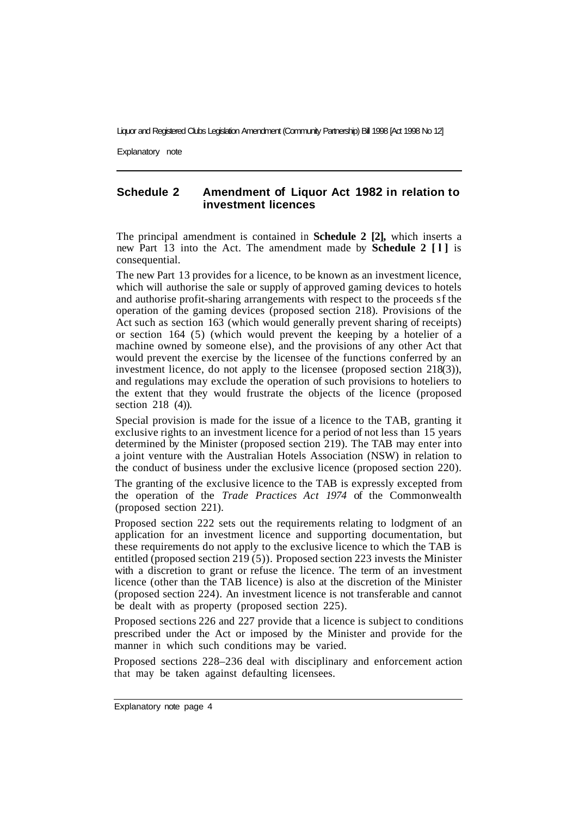Explanatory note

#### **Schedule 2 Amendment of Liquor Act 1982 in relation to investment licences**

The principal amendment is contained in **Schedule 2 [2],** which inserts a new Part 13 into the Act. The amendment made by **Schedule 2 [l]** is consequential.

The new Part 13 provides for a licence, to be known as an investment licence, which will authorise the sale or supply of approved gaming devices to hotels and authorise profit-sharing arrangements with respect to the proceeds sf the operation of the gaming devices (proposed section 218). Provisions of the Act such as section 163 (which would generally prevent sharing of receipts) or section 164 (5) (which would prevent the keeping by a hotelier of a machine owned by someone else), and the provisions of any other Act that would prevent the exercise by the licensee of the functions conferred by an investment licence, do not apply to the licensee (proposed section  $218(3)$ ), and regulations may exclude the operation of such provisions to hoteliers to the extent that they would frustrate the objects of the licence (proposed section 218 (4)).

Special provision is made for the issue of a licence to the TAB, granting it exclusive rights to an investment licence for a period of not less than 15 years determined by the Minister (proposed section 219). The TAB may enter into a joint venture with the Australian Hotels Association (NSW) in relation to the conduct of business under the exclusive licence (proposed section 220).

The granting of the exclusive licence to the TAB is expressly excepted from the operation of the *Trade Practices Act 1974* of the Commonwealth (proposed section 221).

Proposed section 222 sets out the requirements relating to lodgment of an application for an investment licence and supporting documentation, but these requirements do not apply to the exclusive licence to which the TAB is entitled (proposed section 219 (5)). Proposed section 223 invests the Minister with a discretion to grant or refuse the licence. The term of an investment licence (other than the TAB licence) is also at the discretion of the Minister (proposed section 224). An investment licence is not transferable and cannot be dealt with as property (proposed section 225).

Proposed sections 226 and 227 provide that a licence is subject to conditions prescribed under the Act or imposed by the Minister and provide for the manner in which such conditions may be varied.

Proposed sections 228–236 deal with disciplinary and enforcement action that may be taken against defaulting licensees.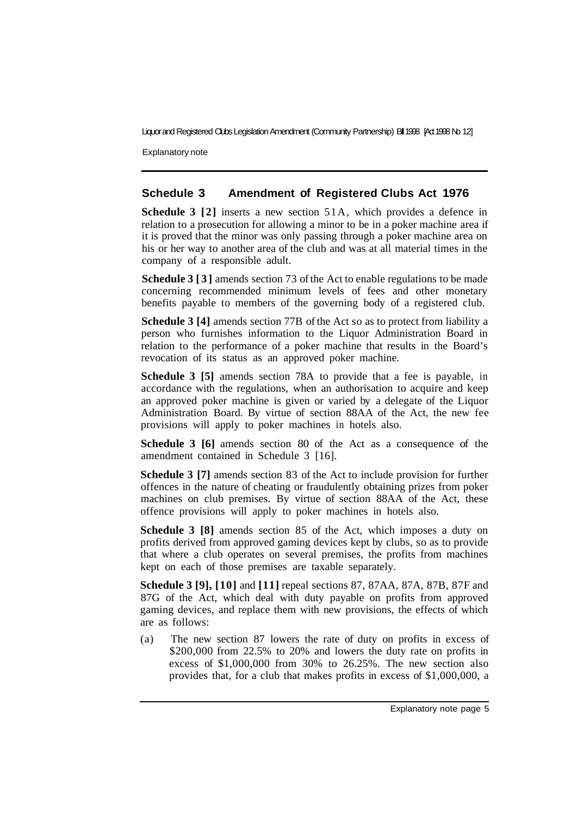Explanatory note

#### **Schedule 3 Amendment of Registered Clubs Act 1976**

**Schedule 3 [2]** inserts a new section 51A, which provides a defence in relation to a prosecution for allowing a minor to be in a poker machine area if it is proved that the minor was only passing through a poker machine area on his or her way to another area of the club and was at all material times in the company of a responsible adult.

**Schedule 3 [3]** amends section 73 of the Act to enable regulations to be made concerning recommended minimum levels of fees and other monetary benefits payable to members of the governing body of a registered club.

**Schedule 3 [4]** amends section 77B of the Act so as to protect from liability a person who furnishes information to the Liquor Administration Board in relation to the performance of a poker machine that results in the Board's revocation of its status as an approved poker machine.

**Schedule 3 [5]** amends section 78A to provide that a fee is payable, in accordance with the regulations, when an authorisation to acquire and keep an approved poker machine is given or varied by a delegate of the Liquor Administration Board. By virtue of section 88AA of the Act, the new fee provisions will apply to poker machines in hotels also.

**Schedule 3 [6]** amends section 80 of the Act as a consequence of the amendment contained in Schedule 3 [16].

**Schedule 3 [7]** amends section 83 of the Act to include provision for further offences in the nature of cheating or fraudulently obtaining prizes from poker machines on club premises. By virtue of section 88AA of the Act, these offence provisions will apply to poker machines in hotels also.

**Schedule 3 [8]** amends section 85 of the Act, which imposes a duty on profits derived from approved gaming devices kept by clubs, so as to provide that where a club operates on several premises, the profits from machines kept on each of those premises are taxable separately.

**Schedule 3 [9], [10]** and **[11]** repeal sections 87, 87AA, 87A, 87B, 87F and 87G of the Act, which deal with duty payable on profits from approved gaming devices, and replace them with new provisions, the effects of which are as follows:

(a) The new section 87 lowers the rate of duty on profits in excess of \$200,000 from 22.5% to 20% and lowers the duty rate on profits in excess of \$1,000,000 from 30% to 26.25%. The new section also provides that, for a club that makes profits in excess of \$1,000,000, a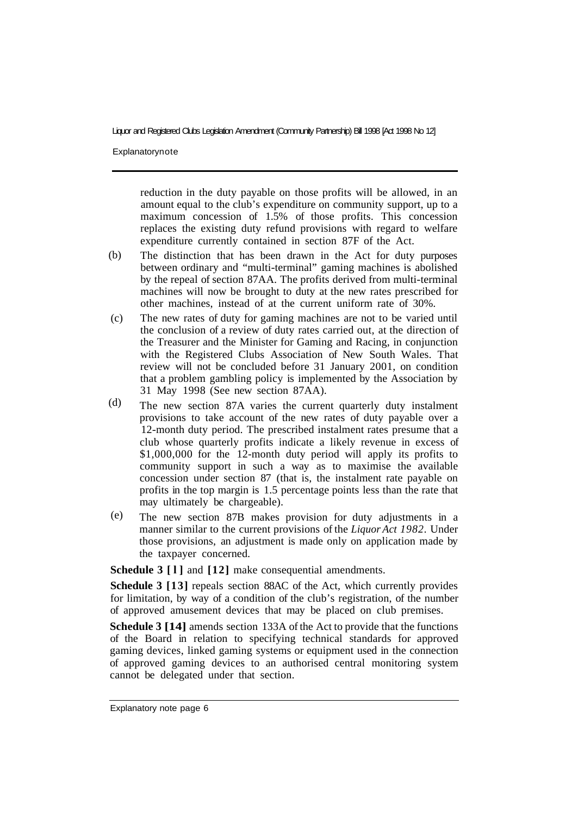Explanatorynote

reduction in the duty payable on those profits will be allowed, in an amount equal to the club's expenditure on community support, up to a maximum concession of 1.5% of those profits. This concession replaces the existing duty refund provisions with regard to welfare expenditure currently contained in section 87F of the Act.

- The distinction that has been drawn in the Act for duty purposes between ordinary and "multi-terminal" gaming machines is abolished by the repeal of section 87AA. The profits derived from multi-terminal machines will now be brought to duty at the new rates prescribed for other machines, instead of at the current uniform rate of 30%. (b)
- The new rates of duty for gaming machines are not to be varied until the conclusion of a review of duty rates carried out, at the direction of the Treasurer and the Minister for Gaming and Racing, in conjunction with the Registered Clubs Association of New South Wales. That review will not be concluded before 31 January 2001, on condition that a problem gambling policy is implemented by the Association by 31 May 1998 (See new section 87AA). (c)
- The new section 87A varies the current quarterly duty instalment provisions to take account of the new rates of duty payable over a 12-month duty period. The prescribed instalment rates presume that a club whose quarterly profits indicate a likely revenue in excess of \$1,000,000 for the 12-month duty period will apply its profits to community support in such a way as to maximise the available concession under section 87 (that is, the instalment rate payable on profits in the top margin is 1.5 percentage points less than the rate that may ultimately be chargeable). (d)
- The new section 87B makes provision for duty adjustments in a manner similar to the current provisions of the *Liquor Act 1982.* Under those provisions, an adjustment is made only on application made by the taxpayer concerned. (e)

**Schedule 3 [l]** and **[12]** make consequential amendments.

**Schedule 3 [13]** repeals section 88AC of the Act, which currently provides for limitation, by way of a condition of the club's registration, of the number of approved amusement devices that may be placed on club premises.

**Schedule 3 [14]** amends section 133A of the Act to provide that the functions of the Board in relation to specifying technical standards for approved gaming devices, linked gaming systems or equipment used in the connection of approved gaming devices to an authorised central monitoring system cannot be delegated under that section.

Explanatory note page 6